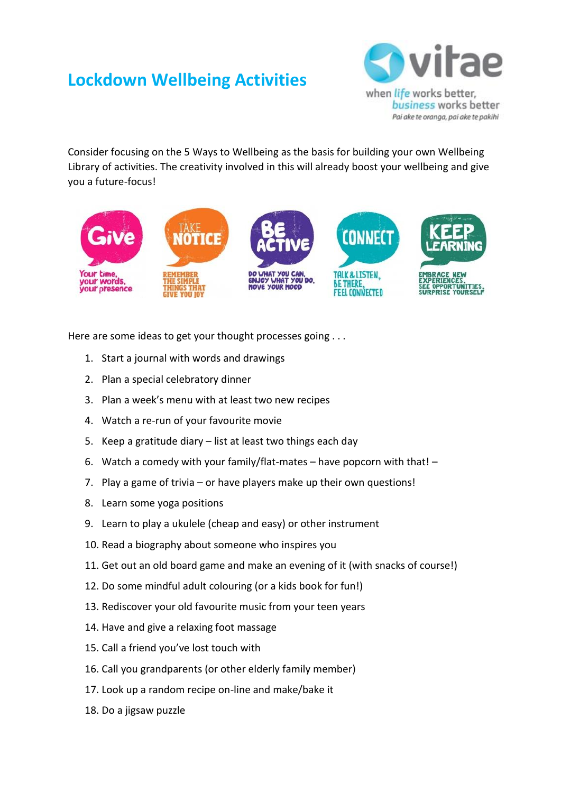## **Lockdown Wellbeing Activities**



Pai ake te oranga, pai ake te pakihi

Consider focusing on the 5 Ways to Wellbeing as the basis for building your own Wellbeing Library of activities. The creativity involved in this will already boost your wellbeing and give you a future-focus!



Here are some ideas to get your thought processes going . . .

- 1. Start a journal with words and drawings
- 2. Plan a special celebratory dinner
- 3. Plan a week's menu with at least two new recipes
- 4. Watch a re-run of your favourite movie
- 5. Keep a gratitude diary list at least two things each day
- 6. Watch a comedy with your family/flat-mates have popcorn with that! –
- 7. Play a game of trivia or have players make up their own questions!
- 8. Learn some yoga positions
- 9. Learn to play a ukulele (cheap and easy) or other instrument
- 10. Read a biography about someone who inspires you
- 11. Get out an old board game and make an evening of it (with snacks of course!)
- 12. Do some mindful adult colouring (or a kids book for fun!)
- 13. Rediscover your old favourite music from your teen years
- 14. Have and give a relaxing foot massage
- 15. Call a friend you've lost touch with
- 16. Call you grandparents (or other elderly family member)
- 17. Look up a random recipe on-line and make/bake it
- 18. Do a jigsaw puzzle